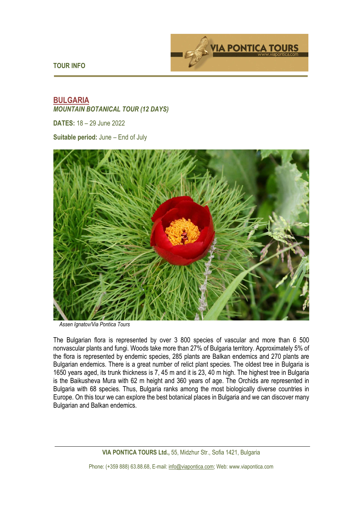**TOUR INFO** 



# **BULGARIA**  *MOUNTAIN BOTANICAL TOUR (12 DAYS)*

**DATES:** 18 – 29 June 2022

**Suitable period:** June – End of July



*Assen Ignatov/Via Pontica Tours* 

The Bulgarian flora is represented by over 3 800 species of vascular and more than 6 500 nonvascular plants and fungi. Woods take more than 27% of Bulgaria territory. Approximately 5% of the flora is represented by endemic species, 285 plants are Balkan endemics and 270 plants are Bulgarian endemics. There is a great number of relict plant species. The oldest tree in Bulgaria is 1650 years aged, its trunk thickness is 7, 45 m and it is 23, 40 m high. The highest tree in Bulgaria is the Baikusheva Mura with 62 m height and 360 years of age. The Orchids are represented in Bulgaria with 68 species. Thus, Bulgaria ranks among the most biologically diverse countries in Europe. On this tour we can explore the best botanical places in Bulgaria and we can discover many Bulgarian and Balkan endemics.

**VIA PONTICA TOURS Ltd.,** 55, Midzhur Str., Sofia 1421, Bulgaria

Phone: (+359 888) 63.88.68, E-mail: info@viapontica.com; Web: www.viapontica.com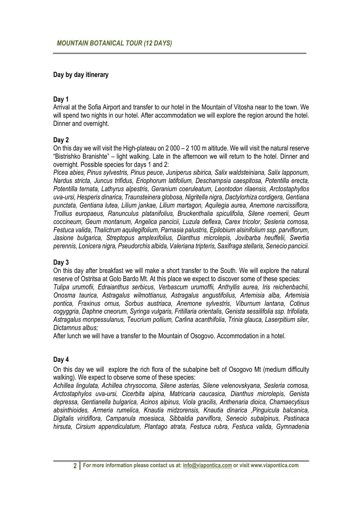### **Day by day itinerary**

#### **Day 1**

Arrival at the Sofia Airport and transfer to our hotel in the Mountain of Vitosha near to the town. We will spend two nights in our hotel. After accommodation we will explore the region around the hotel. Dinner and overnight.

#### **Day 2**

On this day we will visit the High-plateau on 2 000 – 2 100 m altitude. We will visit the natural reserve "Bistrishko Branishte" – light walking. Late in the afternoon we will return to the hotel. Dinner and overnight. Possible species for days 1 and 2:

*Picea abies, Pinus sylvestris, Pinus peuce, Juniperus sibirica, Salix waldsteiniana, Salix lapponum, Nardus stricta, Juncus trifidus, Eriophorum latifolium, Deschampsia caespitosa, Potentilla erecta, Potentilla ternata, Lathyrus alpestris, Geranium coeruleatum, Leontodon rilaensis, Arctostaphyllos uva-ursi, Hesperis dinarica, Traunsteinera globosa, Nigritella nigra, Dactylorhiza cordigera, Gentiana punctata, Gentiana lutea, Lilium jankae, Lilium martagon, Aquilegia aurea, Anemone narcissiflora, Trollius europaeus, Ranunculus platanifolius, Bruckenthalia spiculifolia, Silene roemerii, Geum coccineum, Geum montanum, Angelica pancicii, Luzula deflexa, Carex tricolor, Sesleria comosa, Festuca valida, Thalictrum aquilegifolium, Parnasia palustris, Epilobium alsinifolium ssp. parviflorum, Jasione bulgarica, Streptopus amplexifolius, Dianthus microlepis, Jovibarba heuffelii, Swertia perennis, Lonicera nigra, Pseudorchis albida, Valeriana tripteris, Saxifraga stellaris, Senecio pancicii.* 

# **Day 3**

On this day after breakfast we will make a short transfer to the South. We will explore the natural reserve of Ostritsa at Golo Bardo Mt. At this place we expect to discover some of these species:

*Tulipa urumofii, Edraianthus serbicus, Verbascum urumoffii, Anthyllis aurea, Iris reichenbachii, Onosma taurica, Astragalus wilmottianus, Astragalus angustifolius, Artemisia alba, Artemisia pontica, Fraxinus ornus, Sorbus austriaca, Anemone sylvestris, Viburnum lantana, Cotinus cogyggria, Daphne cneorum, Syringa vulgaris, Fritillaria orientalis, Genista sessilifolia ssp. trifoliata, Astragalus monpessulanus, Teucrium pollium, Carlina acanthifolia, Trinia glauca, Laserpitium siler, Dictamnus albus;* 

After lunch we will have a transfer to the Mountain of Osogovo. Accommodation in a hotel.

# **Day 4**

On this day we will explore the rich flora of the subalpine belt of Osogovo Mt (medium difficulty walking). We expect to observe some of these species:

*Achillea lingulata, Achillea chrysocoma, Silene asterias, Silene velenovskyana, Sesleria comosa, Arctostaphylos uva-ursi, Cicerbita alpina, Matricaria caucasica, Dianthus microlepis, Genista depressa, Gentianella bulgarica, Acinos alpinus, Viola gracilis, Anthenaria dioica, Chamaecytisus absinthioides, Armeria rumelica, Knautia midzorensis, Knautia dinarica ,Pinguicula balcanica, Digitalis viridiflora, Campanula moesiaca, Sibbaldia parviflora, Senecio subalpinus, Pastinaca hirsuta, Cirsium appendiculatum, Plantago atrata, Festuca rubra, Festuca valida, Gymnadenia*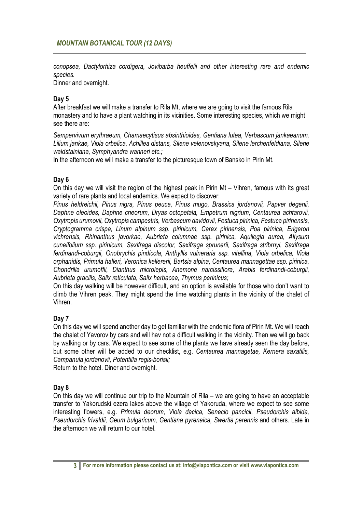*conopsea, Dactylorhiza cordigera, Jovibarba heuffelii and other interesting rare and endemic species.* 

Dinner and overnight.

# **Day 5**

After breakfast we will make a transfer to Rila Mt, where we are going to visit the famous Rila monastery and to have a plant watching in its vicinities. Some interesting species, which we might see there are:

*Sempervivum erythraeum, Chamaecytisus absinthioides, Gentiana lutea, Verbascum jankaeanum, Lilium jankae, Viola orbelica, Achillea distans, Silene velenovskyana, Silene lerchenfeldiana, Silene waldstainiana, Symphyandra wanneri etc.;* 

In the afternoon we will make a transfer to the picturesque town of Bansko in Pirin Mt.

# **Day 6**

On this day we will visit the region of the highest peak in Pirin Mt – Vihren, famous with its great variety of rare plants and local endemics. We expect to discover:

*Pinus heldreichii, Pinus nigra, Pinus peuce, Pinus mugo, Brassica jordanovii, Papver degenii, Daphne oleoides, Daphne cneorum, Dryas octopetala, Empetrum nigrium, Centaurea achtarovii, Oxytropis urumovii, Oxytropis campestris, Verbascum davidovii, Festuca pirinica, Festuca pirinensis, Cryptogramma crispa, Linum alpinum ssp. pirinicum, Carex pirinensis, Poa pirinica, Erigeron vichrensis, Rhinanthus javorkae, Aubrieta columnae ssp. pirinica, Aquilegia aurea, Allysum cuneifolium ssp. pirinicum, Saxifraga discolor, Saxifraga sprunerii, Saxifraga stribrnyi, Saxifraga ferdinandi-coburgii, Onobrychis pindicola, Anthyllis vulneraria ssp. vitellina, Viola orbelica, Viola orphanidis, Primula halleri, Veronica kellererii, Bartsia alpina, Centaurea mannagettae ssp. pirinica, Chondrilla urumoffii, Dianthus microlepis, Anemone narcissiflora, Arabis ferdinandi-coburgii, Aubrieta gracilis, Salix reticulata, Salix herbacea, Thymus perinicus;* 

On this day walking will be however difficult, and an option is available for those who don't want to climb the Vihren peak. They might spend the time watching plants in the vicinity of the chalet of Vihren.

# **Day 7**

On this day we will spend another day to get familiar with the endemic flora of Pirin Mt. We will reach the chalet of Yavorov by cars and will hav not a difficult walking in the vicinity. Then we will go back by walking or by cars. We expect to see some of the plants we have already seen the day before, but some other will be added to our checklist, e.g. *Centaurea mannagetae, Kernera saxatilis, Campanula jordanovii, Potentilla regis-borisii;*

Return to the hotel. Diner and overnight.

#### **Day 8**

On this day we will continue our trip to the Mountain of Rila – we are going to have an acceptable transfer to Yakorudski ezera lakes above the village of Yakoruda, where we expect to see some interesting flowers, e.g. *Primula deorum, Viola dacica, Senecio pancicii, Pseudorchis albida, Pseudorchis frivaldii, Geum bulgaricum, Gentiana pyrenaica, Swertia perennis* and others. Late in the afternoon we will return to our hotel.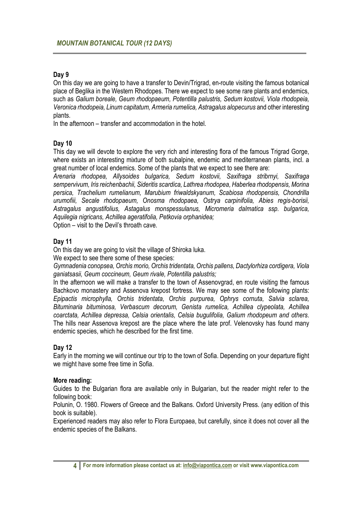#### **Day 9**

On this day we are going to have a transfer to Devin/Trigrad, en-route visiting the famous botanical place of Beglika in the Western Rhodopes. There we expect to see some rare plants and endemics, such as *Galium boreale, Geum rhodopaeum, Potentilla palustris, Sedum kostovii, Viola rhodopeia, Veronica rhodopeia, Linum capitatum, Armeria rumelica, Astragalus alopecurus* and other interesting plants.

In the afternoon – transfer and accommodation in the hotel.

#### **Day 10**

This day we will devote to explore the very rich and interesting flora of the famous Trigrad Gorge, where exists an interesting mixture of both subalpine, endemic and mediterranean plants, incl. a great number of local endemics. Some of the plants that we expect to see there are:

*Arenaria rhodopea, Allysoides bulgarica, Sedum kostovii, Saxifraga stribrnyi, Saxifraga sempervivum, Iris reichenbachii, Sideritis scardica, Lathrea rhodopea, Haberlea rhodopensis, Morina persica, Trachelium rumelianum, Marubium friwaldskyanum, Scabiosa rhodopensis, Chondrilla urumofiii, Secale rhodopaeum, Onosma rhodopaea, Ostrya carpinifolia, Abies regis-borisii, Astragalus angustifolius, Astagalus monspessulanus, Micromeria dalmatica ssp. bulgarica, Aquilegia nigricans, Achillea ageratifolia, Petkovia orphanidea;*  Option – visit to the Devil's throath cave.

#### **Day 11**

On this day we are going to visit the village of Shiroka luka.

We expect to see there some of these species:

*Gymnadenia conopsea, Orchis morio, Orchis tridentata, Orchis pallens, Dactylorhiza cordigera, Viola ganiatsasii, Geum coccineum, Geum rivale, Potentilla palustris;* 

In the afternoon we will make a transfer to the town of Assenovgrad, en route visiting the famous Bachkovo monastery and Assenova krepost fortress. We may see some of the following plants: *Epipactis microphylla, Orchis tridentata, Orchis purpurea, Ophrys cornuta, Salvia sclarea, Bituminaria bituminosa, Verbascum decorum, Genista rumelica, Achillea clypeolata, Achillea coarctata, Achillea depressa, Celsia orientalis, Celsia bugulifolia, Galium rhodopeum and others*. The hills near Assenova krepost are the place where the late prof. Velenovsky has found many endemic species, which he described for the first time.

# **Day 12**

Early in the morning we will continue our trip to the town of Sofia. Depending on your departure flight we might have some free time in Sofia.

#### **More reading:**

Guides to the Bulgarian flora are available only in Bulgarian, but the reader might refer to the following book:

Polunin, O. 1980. Flowers of Greece and the Balkans. Oxford University Press. (any edition of this book is suitable).

Experienced readers may also refer to Flora Europaea, but carefully, since it does not cover all the endemic species of the Balkans.